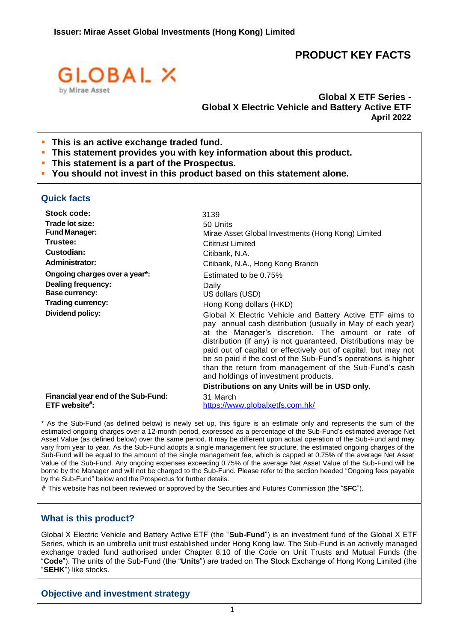# **PRODUCT KEY FACTS**



**Global X ETF Series - Global X Electric Vehicle and Battery Active ETF April 2022**

- **This** is an active exchange traded fund.
- **This statement provides you with key information about this product.**
- **This statement is a part of the Prospectus.**
- **You should not invest in this product based on this statement alone.**

## **Quick facts**

| Stock code:                                          | 3139                                                                                                                                                                                                                                                                                                                                                                                                                                                                               |
|------------------------------------------------------|------------------------------------------------------------------------------------------------------------------------------------------------------------------------------------------------------------------------------------------------------------------------------------------------------------------------------------------------------------------------------------------------------------------------------------------------------------------------------------|
| Trade lot size:                                      | 50 Units                                                                                                                                                                                                                                                                                                                                                                                                                                                                           |
| <b>Fund Manager:</b>                                 | Mirae Asset Global Investments (Hong Kong) Limited                                                                                                                                                                                                                                                                                                                                                                                                                                 |
| Trustee:                                             | <b>Cititrust Limited</b>                                                                                                                                                                                                                                                                                                                                                                                                                                                           |
| Custodian:                                           | Citibank, N.A.                                                                                                                                                                                                                                                                                                                                                                                                                                                                     |
| <b>Administrator:</b>                                | Citibank, N.A., Hong Kong Branch                                                                                                                                                                                                                                                                                                                                                                                                                                                   |
| Ongoing charges over a year*:                        | Estimated to be 0.75%                                                                                                                                                                                                                                                                                                                                                                                                                                                              |
| <b>Dealing frequency:</b>                            | Daily                                                                                                                                                                                                                                                                                                                                                                                                                                                                              |
| <b>Base currency:</b>                                | US dollars (USD)                                                                                                                                                                                                                                                                                                                                                                                                                                                                   |
| <b>Trading currency:</b>                             | Hong Kong dollars (HKD)                                                                                                                                                                                                                                                                                                                                                                                                                                                            |
| Dividend policy:                                     | Global X Electric Vehicle and Battery Active ETF aims to<br>pay annual cash distribution (usually in May of each year)<br>at the Manager's discretion. The amount or rate of<br>distribution (if any) is not guaranteed. Distributions may be<br>paid out of capital or effectively out of capital, but may not<br>be so paid if the cost of the Sub-Fund's operations is higher<br>than the return from management of the Sub-Fund's cash<br>and holdings of investment products. |
|                                                      | Distributions on any Units will be in USD only.                                                                                                                                                                                                                                                                                                                                                                                                                                    |
| Financial year end of the Sub-Fund:<br>ETF website#: | 31 March<br>https://www.globalxetfs.com.hk/                                                                                                                                                                                                                                                                                                                                                                                                                                        |

\* As the Sub-Fund (as defined below) is newly set up, this figure is an estimate only and represents the sum of the estimated ongoing charges over a 12-month period, expressed as a percentage of the Sub-Fund's estimated average Net Asset Value (as defined below) over the same period. It may be different upon actual operation of the Sub-Fund and may vary from year to year. As the Sub-Fund adopts a single management fee structure, the estimated ongoing charges of the Sub-Fund will be equal to the amount of the single management fee, which is capped at 0.75% of the average Net Asset Value of the Sub-Fund. Any ongoing expenses exceeding 0.75% of the average Net Asset Value of the Sub-Fund will be borne by the Manager and will not be charged to the Sub-Fund. Please refer to the section headed "Ongoing fees payable by the Sub-Fund" below and the Prospectus for further details.

# This website has not been reviewed or approved by the Securities and Futures Commission (the "**SFC**").

## **What is this product?**

Global X Electric Vehicle and Battery Active ETF (the "**Sub-Fund**") is an investment fund of the Global X ETF Series, which is an umbrella unit trust established under Hong Kong law. The Sub-Fund is an actively managed exchange traded fund authorised under Chapter 8.10 of the Code on Unit Trusts and Mutual Funds (the "**Code**"). The units of the Sub-Fund (the "**Units**") are traded on The Stock Exchange of Hong Kong Limited (the "**SEHK**") like stocks.

## **Objective and investment strategy**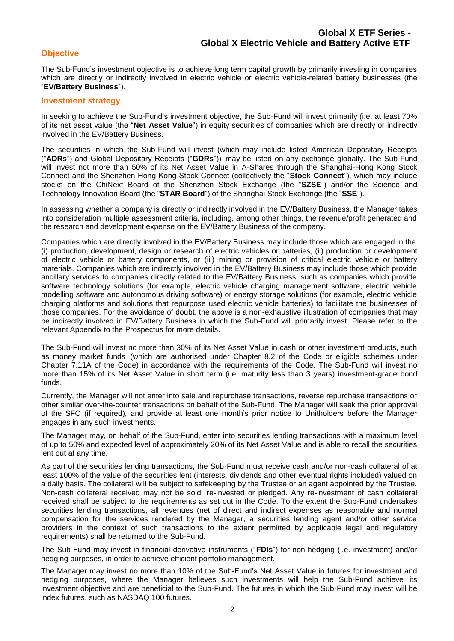## **Objective**

The Sub-Fund's investment objective is to achieve long term capital growth by primarily investing in companies which are directly or indirectly involved in electric vehicle or electric vehicle-related battery businesses (the "**EV/Battery Business**").

#### **Investment strategy**

In seeking to achieve the Sub-Fund's investment objective, the Sub-Fund will invest primarily (i.e. at least 70% of its net asset value (the "**Net Asset Value**") in equity securities of companies which are directly or indirectly involved in the EV/Battery Business.

The securities in which the Sub-Fund will invest (which may include listed American Depositary Receipts ("**ADRs**") and Global Depositary Receipts ("**GDRs**")) may be listed on any exchange globally. The Sub-Fund will invest not more than 50% of its Net Asset Value in A-Shares through the Shanghai-Hong Kong Stock Connect and the Shenzhen-Hong Kong Stock Connect (collectively the "**Stock Connect**"), which may include stocks on the ChiNext Board of the Shenzhen Stock Exchange (the "**SZSE**") and/or the Science and Technology Innovation Board (the "**STAR Board**") of the Shanghai Stock Exchange (the "**SSE**").

In assessing whether a company is directly or indirectly involved in the EV/Battery Business, the Manager takes into consideration multiple assessment criteria, including, among other things, the revenue/profit generated and the research and development expense on the EV/Battery Business of the company.

Companies which are directly involved in the EV/Battery Business may include those which are engaged in the (i) production, development, design or research of electric vehicles or batteries, (ii) production or development of electric vehicle or battery components, or (iii) mining or provision of critical electric vehicle or battery materials. Companies which are indirectly involved in the EV/Battery Business may include those which provide ancillary services to companies directly related to the EV/Battery Business, such as companies which provide software technology solutions (for example, electric vehicle charging management software, electric vehicle modelling software and autonomous driving software) or energy storage solutions (for example, electric vehicle charging platforms and solutions that repurpose used electric vehicle batteries) to facilitate the businesses of those companies. For the avoidance of doubt, the above is a non-exhaustive illustration of companies that may be indirectly involved in EV/Battery Business in which the Sub-Fund will primarily invest. Please refer to the relevant Appendix to the Prospectus for more details.

The Sub-Fund will invest no more than 30% of its Net Asset Value in cash or other investment products, such as money market funds (which are authorised under Chapter 8.2 of the Code or eligible schemes under Chapter 7.11A of the Code) in accordance with the requirements of the Code. The Sub-Fund will invest no more than 15% of its Net Asset Value in short term (i.e. maturity less than 3 years) investment-grade bond funds.

Currently, the Manager will not enter into sale and repurchase transactions, reverse repurchase transactions or other similar over-the-counter transactions on behalf of the Sub-Fund. The Manager will seek the prior approval of the SFC (if required), and provide at least one month's prior notice to Unitholders before the Manager engages in any such investments.

The Manager may, on behalf of the Sub-Fund, enter into securities lending transactions with a maximum level of up to 50% and expected level of approximately 20% of its Net Asset Value and is able to recall the securities lent out at any time.

As part of the securities lending transactions, the Sub-Fund must receive cash and/or non-cash collateral of at least 100% of the value of the securities lent (interests, dividends and other eventual rights included) valued on a daily basis. The collateral will be subject to safekeeping by the Trustee or an agent appointed by the Trustee. Non-cash collateral received may not be sold, re-invested or pledged. Any re-investment of cash collateral received shall be subject to the requirements as set out in the Code. To the extent the Sub-Fund undertakes securities lending transactions, all revenues (net of direct and indirect expenses as reasonable and normal compensation for the services rendered by the Manager, a securities lending agent and/or other service providers in the context of such transactions to the extent permitted by applicable legal and regulatory requirements) shall be returned to the Sub-Fund.

The Sub-Fund may invest in financial derivative instruments ("**FDIs**") for non-hedging (i.e. investment) and/or hedging purposes, in order to achieve efficient portfolio management.

The Manager may invest no more than 10% of the Sub-Fund's Net Asset Value in futures for investment and hedging purposes, where the Manager believes such investments will help the Sub-Fund achieve its investment objective and are beneficial to the Sub-Fund. The futures in which the Sub-Fund may invest will be index futures, such as NASDAQ 100 futures.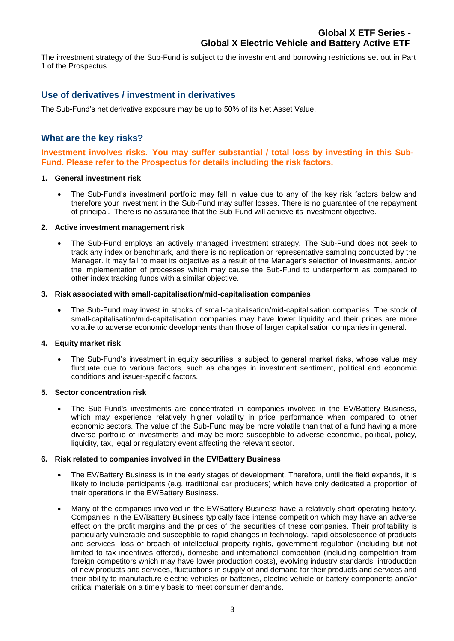The investment strategy of the Sub-Fund is subject to the investment and borrowing restrictions set out in Part 1 of the Prospectus.

## **Use of derivatives / investment in derivatives**

The Sub-Fund's net derivative exposure may be up to 50% of its Net Asset Value.

## **What are the key risks?**

**Investment involves risks. You may suffer substantial / total loss by investing in this Sub-Fund. Please refer to the Prospectus for details including the risk factors.**

## **1. General investment risk**

• The Sub-Fund's investment portfolio may fall in value due to any of the key risk factors below and therefore your investment in the Sub-Fund may suffer losses. There is no guarantee of the repayment of principal. There is no assurance that the Sub-Fund will achieve its investment objective.

#### **2. Active investment management risk**

• The Sub-Fund employs an actively managed investment strategy. The Sub-Fund does not seek to track any index or benchmark, and there is no replication or representative sampling conducted by the Manager. It may fail to meet its objective as a result of the Manager's selection of investments, and/or the implementation of processes which may cause the Sub-Fund to underperform as compared to other index tracking funds with a similar objective.

#### **3. Risk associated with small-capitalisation/mid-capitalisation companies**

• The Sub-Fund may invest in stocks of small-capitalisation/mid-capitalisation companies. The stock of small-capitalisation/mid-capitalisation companies may have lower liquidity and their prices are more volatile to adverse economic developments than those of larger capitalisation companies in general.

## **4. Equity market risk**

• The Sub-Fund's investment in equity securities is subject to general market risks, whose value may fluctuate due to various factors, such as changes in investment sentiment, political and economic conditions and issuer-specific factors.

## **5. Sector concentration risk**

• The Sub-Fund's investments are concentrated in companies involved in the EV/Battery Business, which may experience relatively higher volatility in price performance when compared to other economic sectors. The value of the Sub-Fund may be more volatile than that of a fund having a more diverse portfolio of investments and may be more susceptible to adverse economic, political, policy, liquidity, tax, legal or regulatory event affecting the relevant sector.

## **6. Risk related to companies involved in the EV/Battery Business**

- The EV/Battery Business is in the early stages of development. Therefore, until the field expands, it is likely to include participants (e.g. traditional car producers) which have only dedicated a proportion of their operations in the EV/Battery Business.
- Many of the companies involved in the EV/Battery Business have a relatively short operating history. Companies in the EV/Battery Business typically face intense competition which may have an adverse effect on the profit margins and the prices of the securities of these companies. Their profitability is particularly vulnerable and susceptible to rapid changes in technology, rapid obsolescence of products and services, loss or breach of intellectual property rights, government regulation (including but not limited to tax incentives offered), domestic and international competition (including competition from foreign competitors which may have lower production costs), evolving industry standards, introduction of new products and services, fluctuations in supply of and demand for their products and services and their ability to manufacture electric vehicles or batteries, electric vehicle or battery components and/or critical materials on a timely basis to meet consumer demands.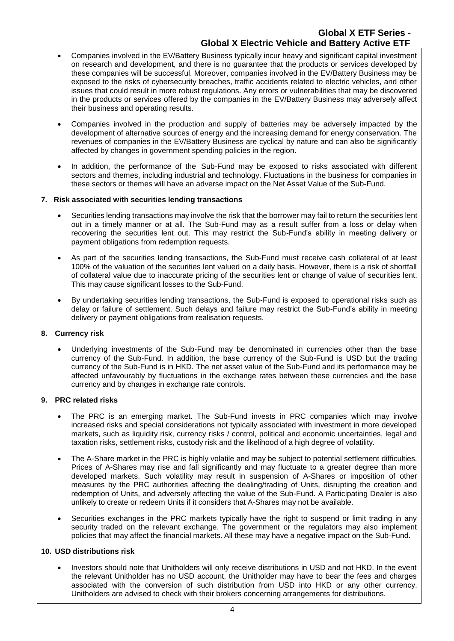- Companies involved in the EV/Battery Business typically incur heavy and significant capital investment on research and development, and there is no guarantee that the products or services developed by these companies will be successful. Moreover, companies involved in the EV/Battery Business may be exposed to the risks of cybersecurity breaches, traffic accidents related to electric vehicles, and other issues that could result in more robust regulations. Any errors or vulnerabilities that may be discovered in the products or services offered by the companies in the EV/Battery Business may adversely affect their business and operating results.
- Companies involved in the production and supply of batteries may be adversely impacted by the development of alternative sources of energy and the increasing demand for energy conservation. The revenues of companies in the EV/Battery Business are cyclical by nature and can also be significantly affected by changes in government spending policies in the region.
- In addition, the performance of the Sub-Fund may be exposed to risks associated with different sectors and themes, including industrial and technology. Fluctuations in the business for companies in these sectors or themes will have an adverse impact on the Net Asset Value of the Sub-Fund.

## **7. Risk associated with securities lending transactions**

- Securities lending transactions may involve the risk that the borrower may fail to return the securities lent out in a timely manner or at all. The Sub-Fund may as a result suffer from a loss or delay when recovering the securities lent out. This may restrict the Sub-Fund's ability in meeting delivery or payment obligations from redemption requests.
- As part of the securities lending transactions, the Sub-Fund must receive cash collateral of at least 100% of the valuation of the securities lent valued on a daily basis. However, there is a risk of shortfall of collateral value due to inaccurate pricing of the securities lent or change of value of securities lent. This may cause significant losses to the Sub-Fund.
- By undertaking securities lending transactions, the Sub-Fund is exposed to operational risks such as delay or failure of settlement. Such delays and failure may restrict the Sub-Fund's ability in meeting delivery or payment obligations from realisation requests.

#### **8. Currency risk**

• Underlying investments of the Sub-Fund may be denominated in currencies other than the base currency of the Sub-Fund. In addition, the base currency of the Sub-Fund is USD but the trading currency of the Sub-Fund is in HKD. The net asset value of the Sub-Fund and its performance may be affected unfavourably by fluctuations in the exchange rates between these currencies and the base currency and by changes in exchange rate controls.

#### **9. PRC related risks**

- The PRC is an emerging market. The Sub-Fund invests in PRC companies which may involve increased risks and special considerations not typically associated with investment in more developed markets, such as liquidity risk, currency risks / control, political and economic uncertainties, legal and taxation risks, settlement risks, custody risk and the likelihood of a high degree of volatility.
- The A-Share market in the PRC is highly volatile and may be subject to potential settlement difficulties. Prices of A-Shares may rise and fall significantly and may fluctuate to a greater degree than more developed markets. Such volatility may result in suspension of A-Shares or imposition of other measures by the PRC authorities affecting the dealing/trading of Units, disrupting the creation and redemption of Units, and adversely affecting the value of the Sub-Fund. A Participating Dealer is also unlikely to create or redeem Units if it considers that A-Shares may not be available.
- Securities exchanges in the PRC markets typically have the right to suspend or limit trading in any security traded on the relevant exchange. The government or the regulators may also implement policies that may affect the financial markets. All these may have a negative impact on the Sub-Fund.

#### **10. USD distributions risk**

• Investors should note that Unitholders will only receive distributions in USD and not HKD. In the event the relevant Unitholder has no USD account, the Unitholder may have to bear the fees and charges associated with the conversion of such distribution from USD into HKD or any other currency. Unitholders are advised to check with their brokers concerning arrangements for distributions.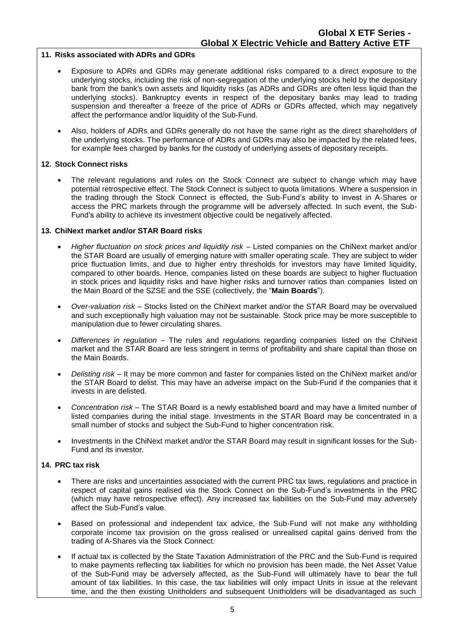#### **11. Risks associated with ADRs and GDRs**

- Exposure to ADRs and GDRs may generate additional risks compared to a direct exposure to the underlying stocks, including the risk of non-segregation of the underlying stocks held by the depositary bank from the bank's own assets and liquidity risks (as ADRs and GDRs are often less liquid than the underlying stocks). Bankruptcy events in respect of the depositary banks may lead to trading suspension and thereafter a freeze of the price of ADRs or GDRs affected, which may negatively affect the performance and/or liquidity of the Sub-Fund.
- Also, holders of ADRs and GDRs generally do not have the same right as the direct shareholders of the underlying stocks. The performance of ADRs and GDRs may also be impacted by the related fees, for example fees charged by banks for the custody of underlying assets of depositary receipts.

#### **12. Stock Connect risks**

The relevant regulations and rules on the Stock Connect are subject to change which may have potential retrospective effect. The Stock Connect is subject to quota limitations. Where a suspension in the trading through the Stock Connect is effected, the Sub-Fund's ability to invest in A-Shares or access the PRC markets through the programme will be adversely affected. In such event, the Sub-Fund's ability to achieve its investment objective could be negatively affected.

#### **13. ChiNext market and/or STAR Board risks**

- *Higher fluctuation on stock prices and liquidity risk*  Listed companies on the ChiNext market and/or the STAR Board are usually of emerging nature with smaller operating scale. They are subject to wider price fluctuation limits, and due to higher entry thresholds for investors may have limited liquidity, compared to other boards. Hence, companies listed on these boards are subject to higher fluctuation in stock prices and liquidity risks and have higher risks and turnover ratios than companies listed on the Main Board of the SZSE and the SSE (collectively, the "**Main Boards**").
- *Over-valuation risk*  Stocks listed on the ChiNext market and/or the STAR Board may be overvalued and such exceptionally high valuation may not be sustainable. Stock price may be more susceptible to manipulation due to fewer circulating shares.
- *Differences in regulation* The rules and regulations regarding companies listed on the ChiNext market and the STAR Board are less stringent in terms of profitability and share capital than those on the Main Boards.
- *Delisting risk*  It may be more common and faster for companies listed on the ChiNext market and/or the STAR Board to delist. This may have an adverse impact on the Sub-Fund if the companies that it invests in are delisted.
- *Concentration risk*  The STAR Board is a newly established board and may have a limited number of listed companies during the initial stage. Investments in the STAR Board may be concentrated in a small number of stocks and subject the Sub-Fund to higher concentration risk.
- Investments in the ChiNext market and/or the STAR Board may result in significant losses for the Sub-Fund and its investor.

## **14. PRC tax risk**

- There are risks and uncertainties associated with the current PRC tax laws, regulations and practice in respect of capital gains realised via the Stock Connect on the Sub-Fund's investments in the PRC (which may have retrospective effect). Any increased tax liabilities on the Sub-Fund may adversely affect the Sub-Fund's value.
- Based on professional and independent tax advice, the Sub-Fund will not make any withholding corporate income tax provision on the gross realised or unrealised capital gains derived from the trading of A-Shares via the Stock Connect.
- If actual tax is collected by the State Taxation Administration of the PRC and the Sub-Fund is required to make payments reflecting tax liabilities for which no provision has been made, the Net Asset Value of the Sub-Fund may be adversely affected, as the Sub-Fund will ultimately have to bear the full amount of tax liabilities. In this case, the tax liabilities will only impact Units in issue at the relevant time, and the then existing Unitholders and subsequent Unitholders will be disadvantaged as such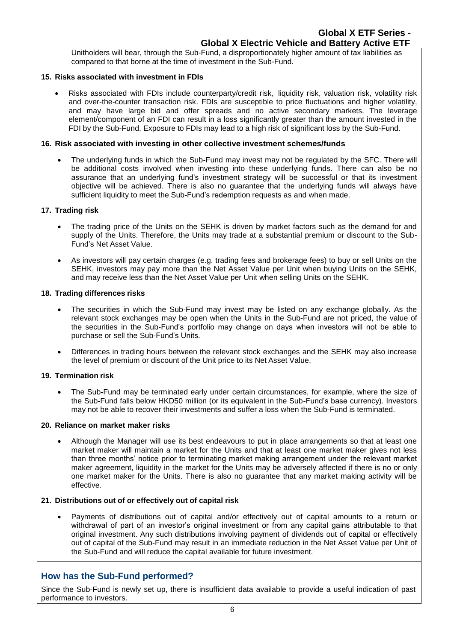Unitholders will bear, through the Sub-Fund, a disproportionately higher amount of tax liabilities as compared to that borne at the time of investment in the Sub-Fund.

## **15. Risks associated with investment in FDIs**

• Risks associated with FDIs include counterparty/credit risk, liquidity risk, valuation risk, volatility risk and over-the-counter transaction risk. FDIs are susceptible to price fluctuations and higher volatility, and may have large bid and offer spreads and no active secondary markets. The leverage element/component of an FDI can result in a loss significantly greater than the amount invested in the FDI by the Sub-Fund. Exposure to FDIs may lead to a high risk of significant loss by the Sub-Fund.

## **16. Risk associated with investing in other collective investment schemes/funds**

• The underlying funds in which the Sub-Fund may invest may not be regulated by the SFC. There will be additional costs involved when investing into these underlying funds. There can also be no assurance that an underlying fund's investment strategy will be successful or that its investment objective will be achieved. There is also no guarantee that the underlying funds will always have sufficient liquidity to meet the Sub-Fund's redemption requests as and when made.

## **17. Trading risk**

- The trading price of the Units on the SEHK is driven by market factors such as the demand for and supply of the Units. Therefore, the Units may trade at a substantial premium or discount to the Sub-Fund's Net Asset Value.
- As investors will pay certain charges (e.g. trading fees and brokerage fees) to buy or sell Units on the SEHK, investors may pay more than the Net Asset Value per Unit when buying Units on the SEHK, and may receive less than the Net Asset Value per Unit when selling Units on the SEHK.

## **18. Trading differences risks**

- The securities in which the Sub-Fund may invest may be listed on any exchange globally. As the relevant stock exchanges may be open when the Units in the Sub-Fund are not priced, the value of the securities in the Sub-Fund's portfolio may change on days when investors will not be able to purchase or sell the Sub-Fund's Units.
- Differences in trading hours between the relevant stock exchanges and the SEHK may also increase the level of premium or discount of the Unit price to its Net Asset Value.

## **19. Termination risk**

• The Sub-Fund may be terminated early under certain circumstances, for example, where the size of the Sub-Fund falls below HKD50 million (or its equivalent in the Sub-Fund's base currency). Investors may not be able to recover their investments and suffer a loss when the Sub-Fund is terminated.

## **20. Reliance on market maker risks**

Although the Manager will use its best endeavours to put in place arrangements so that at least one market maker will maintain a market for the Units and that at least one market maker gives not less than three months' notice prior to terminating market making arrangement under the relevant market maker agreement, liquidity in the market for the Units may be adversely affected if there is no or only one market maker for the Units. There is also no guarantee that any market making activity will be effective.

## **21. Distributions out of or effectively out of capital risk**

• Payments of distributions out of capital and/or effectively out of capital amounts to a return or withdrawal of part of an investor's original investment or from any capital gains attributable to that original investment. Any such distributions involving payment of dividends out of capital or effectively out of capital of the Sub-Fund may result in an immediate reduction in the Net Asset Value per Unit of the Sub-Fund and will reduce the capital available for future investment.

## **How has the Sub-Fund performed?**

Since the Sub-Fund is newly set up, there is insufficient data available to provide a useful indication of past performance to investors.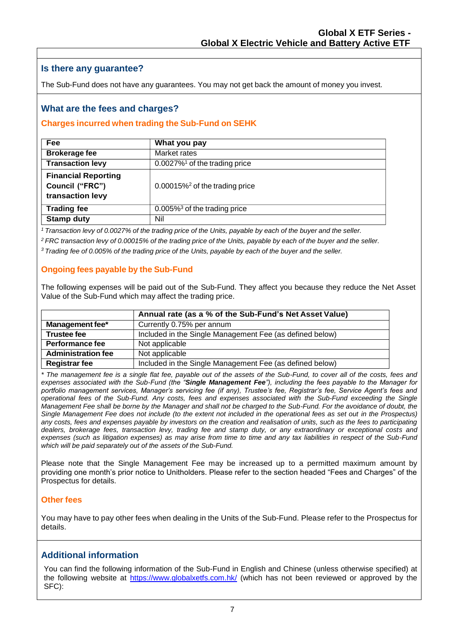## **Is there any guarantee?**

The Sub-Fund does not have any guarantees. You may not get back the amount of money you invest.

## **What are the fees and charges?**

## **Charges incurred when trading the Sub-Fund on SEHK**

| Fee                                                               | What you pay                                  |
|-------------------------------------------------------------------|-----------------------------------------------|
| <b>Brokerage fee</b>                                              | Market rates                                  |
| <b>Transaction levy</b>                                           | $0.0027\%$ <sup>1</sup> of the trading price  |
| <b>Financial Reporting</b><br>Council ("FRC")<br>transaction levy | $0.00015\%$ <sup>2</sup> of the trading price |
| <b>Trading fee</b>                                                | $0.005\%$ <sup>3</sup> of the trading price   |
| <b>Stamp duty</b>                                                 | Nil                                           |

<sup>1</sup> Transaction levy of 0.0027% of the trading price of the Units, payable by each of the buyer and the seller.

<sup>2</sup> FRC transaction levy of 0.00015% of the trading price of the Units, payable by each of the buyer and the seller.

<sup>3</sup> Trading fee of 0.005% of the trading price of the Units, payable by each of the buyer and the seller.

## **Ongoing fees payable by the Sub-Fund**

The following expenses will be paid out of the Sub-Fund. They affect you because they reduce the Net Asset Value of the Sub-Fund which may affect the trading price.

|                           | Annual rate (as a % of the Sub-Fund's Net Asset Value)   |
|---------------------------|----------------------------------------------------------|
| Management fee*           | Currently 0.75% per annum                                |
| <b>Trustee fee</b>        | Included in the Single Management Fee (as defined below) |
| Performance fee           | Not applicable                                           |
| <b>Administration fee</b> | Not applicable                                           |
| <b>Registrar fee</b>      | Included in the Single Management Fee (as defined below) |

*\* The management fee is a single flat fee, payable out of the assets of the Sub-Fund, to cover all of the costs, fees and expenses associated with the Sub-Fund (the "Single Management Fee"), including the fees payable to the Manager for portfolio management services, Manager's servicing fee (if any), Trustee's fee, Registrar's fee, Service Agent's fees and operational fees of the Sub-Fund. Any costs, fees and expenses associated with the Sub-Fund exceeding the Single Management Fee shall be borne by the Manager and shall not be charged to the Sub-Fund. For the avoidance of doubt, the Single Management Fee does not include (to the extent not included in the operational fees as set out in the Prospectus) any costs, fees and expenses payable by investors on the creation and realisation of units, such as the fees to participating dealers, brokerage fees, transaction levy, trading fee and stamp duty, or any extraordinary or exceptional costs and expenses (such as litigation expenses) as may arise from time to time and any tax liabilities in respect of the Sub-Fund which will be paid separately out of the assets of the Sub-Fund.*

Please note that the Single Management Fee may be increased up to a permitted maximum amount by providing one month's prior notice to Unitholders. Please refer to the section headed "Fees and Charges" of the Prospectus for details.

## **Other fees**

You may have to pay other fees when dealing in the Units of the Sub-Fund. Please refer to the Prospectus for details.

## **Additional information**

You can find the following information of the Sub-Fund in English and Chinese (unless otherwise specified) at the following website at<https://www.globalxetfs.com.hk/> (which has not been reviewed or approved by the SFC):